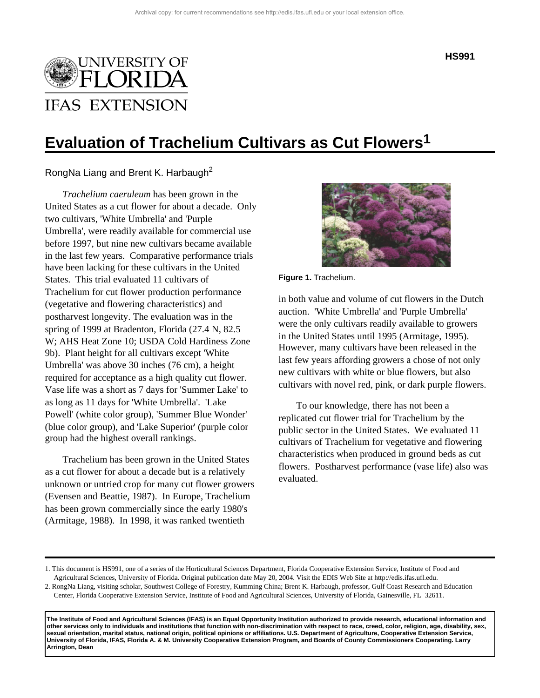

# **Evaluation of Trachelium Cultivars as Cut Flowers1**

RongNa Liang and Brent K. Harbaugh<sup>2</sup>

*Trachelium caeruleum* has been grown in the United States as a cut flower for about a decade. Only two cultivars, 'White Umbrella' and 'Purple Umbrella', were readily available for commercial use before 1997, but nine new cultivars became available in the last few years. Comparative performance trials have been lacking for these cultivars in the United States. This trial evaluated 11 cultivars of Trachelium for cut flower production performance (vegetative and flowering characteristics) and postharvest longevity. The evaluation was in the spring of 1999 at Bradenton, Florida (27.4 N, 82.5 W; AHS Heat Zone 10; USDA Cold Hardiness Zone 9b). Plant height for all cultivars except 'White Umbrella' was above 30 inches (76 cm), a height required for acceptance as a high quality cut flower. Vase life was a short as 7 days for 'Summer Lake' to as long as 11 days for 'White Umbrella'. 'Lake Powell' (white color group), 'Summer Blue Wonder' (blue color group), and 'Lake Superior' (purple color group had the highest overall rankings.

Trachelium has been grown in the United States as a cut flower for about a decade but is a relatively unknown or untried crop for many cut flower growers (Evensen and Beattie, 1987). In Europe, Trachelium has been grown commercially since the early 1980's (Armitage, 1988). In 1998, it was ranked twentieth



**Figure 1.** Trachelium.

in both value and volume of cut flowers in the Dutch auction. 'White Umbrella' and 'Purple Umbrella' were the only cultivars readily available to growers in the United States until 1995 (Armitage, 1995). However, many cultivars have been released in the last few years affording growers a chose of not only new cultivars with white or blue flowers, but also cultivars with novel red, pink, or dark purple flowers.

To our knowledge, there has not been a replicated cut flower trial for Trachelium by the public sector in the United States. We evaluated 11 cultivars of Trachelium for vegetative and flowering characteristics when produced in ground beds as cut flowers. Postharvest performance (vase life) also was evaluated.

**The Institute of Food and Agricultural Sciences (IFAS) is an Equal Opportunity Institution authorized to provide research, educational information and other services only to individuals and institutions that function with non-discrimination with respect to race, creed, color, religion, age, disability, sex, sexual orientation, marital status, national origin, political opinions or affiliations. U.S. Department of Agriculture, Cooperative Extension Service, University of Florida, IFAS, Florida A. & M. University Cooperative Extension Program, and Boards of County Commissioners Cooperating. Larry Arrington, Dean**

<sup>1.</sup> This document is HS991, one of a series of the Horticultural Sciences Department, Florida Cooperative Extension Service, Institute of Food and Agricultural Sciences, University of Florida. Original publication date May 20, 2004. Visit the EDIS Web Site at http://edis.ifas.ufl.edu.

<sup>2.</sup> RongNa Liang, visiting scholar, Southwest College of Forestry, Kumming China; Brent K. Harbaugh, professor, Gulf Coast Research and Education Center, Florida Cooperative Extension Service, Institute of Food and Agricultural Sciences, University of Florida, Gainesville, FL 32611.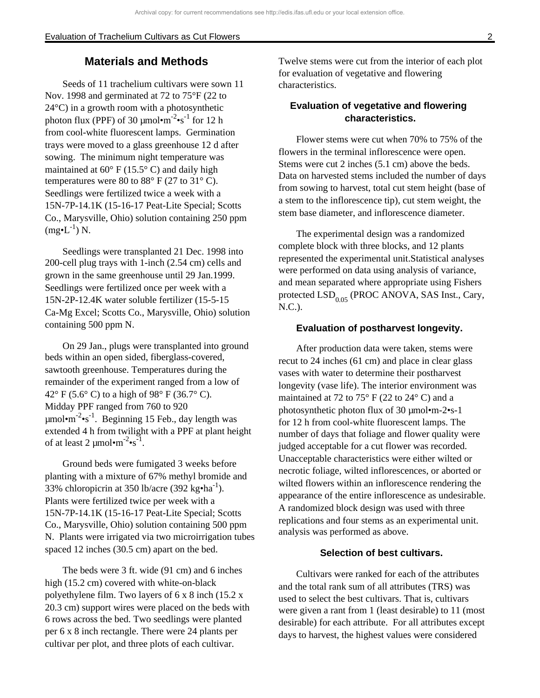# **Materials and Methods**

Seeds of 11 trachelium cultivars were sown 11 Nov. 1998 and germinated at 72 to 75°F (22 to 24°C) in a growth room with a photosynthetic photon flux (PPF) of 30  $\mu$ mol $\cdot$ m<sup>-2</sup> $\cdot$ s<sup>-1</sup> for 12 h from cool-white fluorescent lamps. Germination trays were moved to a glass greenhouse 12 d after sowing. The minimum night temperature was maintained at  $60^{\circ}$  F (15.5° C) and daily high temperatures were 80 to  $88^{\circ}$  F (27 to 31 $^{\circ}$  C). Seedlings were fertilized twice a week with a 15N-7P-14.1K (15-16-17 Peat-Lite Special; Scotts Co., Marysville, Ohio) solution containing 250 ppm  $(mg\bullet L^{-1})$  N.

Seedlings were transplanted 21 Dec. 1998 into 200-cell plug trays with 1-inch (2.54 cm) cells and grown in the same greenhouse until 29 Jan.1999. Seedlings were fertilized once per week with a 15N-2P-12.4K water soluble fertilizer (15-5-15 Ca-Mg Excel; Scotts Co., Marysville, Ohio) solution containing 500 ppm N.

On 29 Jan., plugs were transplanted into ground beds within an open sided, fiberglass-covered, sawtooth greenhouse. Temperatures during the remainder of the experiment ranged from a low of  $42^{\circ}$  F (5.6° C) to a high of 98° F (36.7° C). Midday PPF ranged from 760 to 920  $\mu$ mol•m<sup>-2</sup>•s<sup>-1</sup>. Beginning 15 Feb., day length was extended 4 h from twilight with a PPF at plant height of at least 2  $\mu$ mol•m<sup>-2</sup>•s<sup>-1</sup>.

Ground beds were fumigated 3 weeks before planting with a mixture of 67% methyl bromide and 33% chloropicrin at 350 lb/acre (392 kg $\bullet$ ha<sup>-1</sup>). Plants were fertilized twice per week with a 15N-7P-14.1K (15-16-17 Peat-Lite Special; Scotts Co., Marysville, Ohio) solution containing 500 ppm N. Plants were irrigated via two microirrigation tubes spaced 12 inches (30.5 cm) apart on the bed.

The beds were 3 ft. wide (91 cm) and 6 inches high (15.2 cm) covered with white-on-black polyethylene film. Two layers of 6 x 8 inch (15.2 x 20.3 cm) support wires were placed on the beds with 6 rows across the bed. Two seedlings were planted per 6 x 8 inch rectangle. There were 24 plants per cultivar per plot, and three plots of each cultivar.

Twelve stems were cut from the interior of each plot for evaluation of vegetative and flowering characteristics.

## **Evaluation of vegetative and flowering characteristics.**

Flower stems were cut when 70% to 75% of the flowers in the terminal inflorescence were open. Stems were cut 2 inches (5.1 cm) above the beds. Data on harvested stems included the number of days from sowing to harvest, total cut stem height (base of a stem to the inflorescence tip), cut stem weight, the stem base diameter, and inflorescence diameter.

The experimental design was a randomized complete block with three blocks, and 12 plants represented the experimental unit.Statistical analyses were performed on data using analysis of variance, and mean separated where appropriate using Fishers protected  $LSD<sub>0.05</sub>$  (PROC ANOVA, SAS Inst., Cary, N.C.).

#### **Evaluation of postharvest longevity.**

After production data were taken, stems were recut to 24 inches (61 cm) and place in clear glass vases with water to determine their postharvest longevity (vase life). The interior environment was maintained at 72 to 75° F (22 to 24° C) and a photosynthetic photon flux of 30 µmol•m-2•s-1 for 12 h from cool-white fluorescent lamps. The number of days that foliage and flower quality were judged acceptable for a cut flower was recorded. Unacceptable characteristics were either wilted or necrotic foliage, wilted inflorescences, or aborted or wilted flowers within an inflorescence rendering the appearance of the entire inflorescence as undesirable. A randomized block design was used with three replications and four stems as an experimental unit. analysis was performed as above.

#### **Selection of best cultivars.**

Cultivars were ranked for each of the attributes and the total rank sum of all attributes (TRS) was used to select the best cultivars. That is, cultivars were given a rant from 1 (least desirable) to 11 (most desirable) for each attribute. For all attributes except days to harvest, the highest values were considered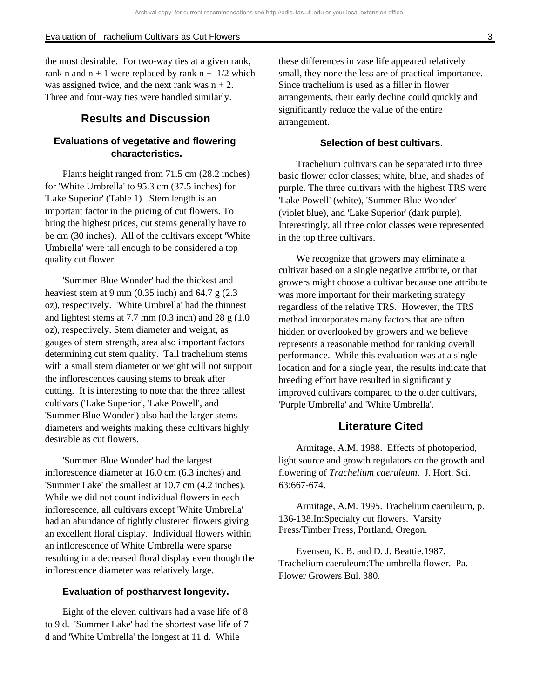the most desirable. For two-way ties at a given rank, rank n and  $n + 1$  were replaced by rank  $n + \frac{1}{2}$  which was assigned twice, and the next rank was  $n + 2$ . Three and four-way ties were handled similarly.

# **Results and Discussion**

### **Evaluations of vegetative and flowering characteristics.**

Plants height ranged from 71.5 cm (28.2 inches) for 'White Umbrella' to 95.3 cm (37.5 inches) for 'Lake Superior' (Table 1). Stem length is an important factor in the pricing of cut flowers. To bring the highest prices, cut stems generally have to be cm (30 inches). All of the cultivars except 'White Umbrella' were tall enough to be considered a top quality cut flower.

'Summer Blue Wonder' had the thickest and heaviest stem at 9 mm  $(0.35$  inch) and 64.7 g  $(2.3)$ oz), respectively. 'White Umbrella' had the thinnest and lightest stems at  $7.7$  mm  $(0.3$  inch) and  $28$  g  $(1.0)$ oz), respectively. Stem diameter and weight, as gauges of stem strength, area also important factors determining cut stem quality. Tall trachelium stems with a small stem diameter or weight will not support the inflorescences causing stems to break after cutting. It is interesting to note that the three tallest cultivars ('Lake Superior', 'Lake Powell', and 'Summer Blue Wonder') also had the larger stems diameters and weights making these cultivars highly desirable as cut flowers.

'Summer Blue Wonder' had the largest inflorescence diameter at 16.0 cm (6.3 inches) and 'Summer Lake' the smallest at 10.7 cm (4.2 inches). While we did not count individual flowers in each inflorescence, all cultivars except 'White Umbrella' had an abundance of tightly clustered flowers giving an excellent floral display. Individual flowers within an inflorescence of White Umbrella were sparse resulting in a decreased floral display even though the inflorescence diameter was relatively large.

#### **Evaluation of postharvest longevity.**

Eight of the eleven cultivars had a vase life of 8 to 9 d. 'Summer Lake' had the shortest vase life of 7 d and 'White Umbrella' the longest at 11 d. While

these differences in vase life appeared relatively small, they none the less are of practical importance. Since trachelium is used as a filler in flower arrangements, their early decline could quickly and significantly reduce the value of the entire arrangement.

#### **Selection of best cultivars.**

Trachelium cultivars can be separated into three basic flower color classes; white, blue, and shades of purple. The three cultivars with the highest TRS were 'Lake Powell' (white), 'Summer Blue Wonder' (violet blue), and 'Lake Superior' (dark purple). Interestingly, all three color classes were represented in the top three cultivars.

We recognize that growers may eliminate a cultivar based on a single negative attribute, or that growers might choose a cultivar because one attribute was more important for their marketing strategy regardless of the relative TRS. However, the TRS method incorporates many factors that are often hidden or overlooked by growers and we believe represents a reasonable method for ranking overall performance. While this evaluation was at a single location and for a single year, the results indicate that breeding effort have resulted in significantly improved cultivars compared to the older cultivars, 'Purple Umbrella' and 'White Umbrella'.

# **Literature Cited**

Armitage, A.M. 1988. Effects of photoperiod, light source and growth regulators on the growth and flowering of *Trachelium caeruleum*. J. Hort. Sci. 63:667-674.

Armitage, A.M. 1995. Trachelium caeruleum, p. 136-138.In:Specialty cut flowers. Varsity Press/Timber Press, Portland, Oregon.

Evensen, K. B. and D. J. Beattie.1987. Trachelium caeruleum:The umbrella flower. Pa. Flower Growers Bul. 380.